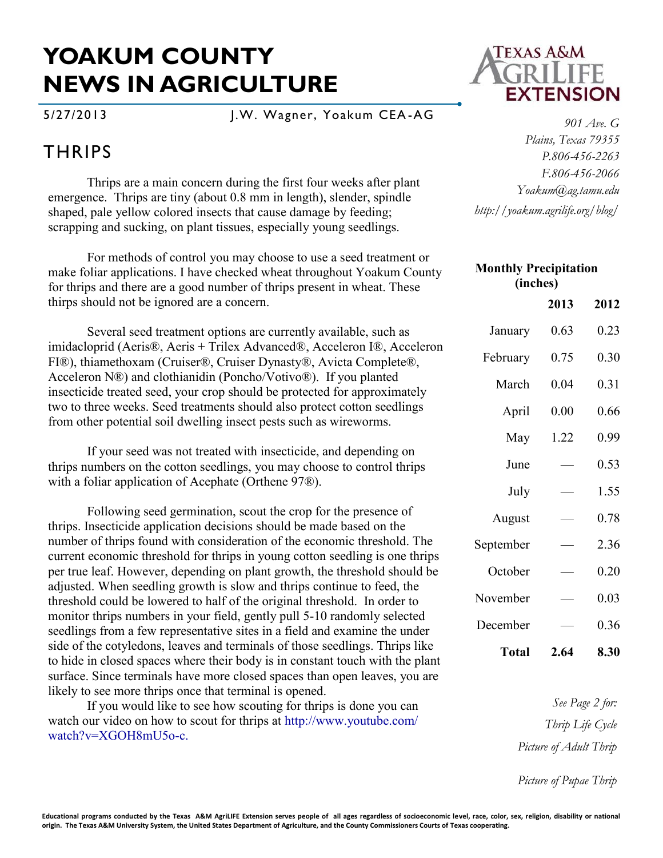## **YOAKUM COUNTY NEWS IN AGRICULTURE**

5/27/2013 J.W. Wagner, Yoakum CEA -AG

## **THRIPS**

Thrips are a main concern during the first four weeks after plant emergence. Thrips are tiny (about 0.8 mm in length), slender, spindle shaped, pale yellow colored insects that cause damage by feeding; scrapping and sucking, on plant tissues, especially young seedlings.

For methods of control you may choose to use a seed treatment or make foliar applications. I have checked wheat throughout Yoakum County for thrips and there are a good number of thrips present in wheat. These thirps should not be ignored are a concern.

Several seed treatment options are currently available, such as imidacloprid (Aeris®, Aeris + Trilex Advanced®, Acceleron I®, Acceleron FI®), thiamethoxam (Cruiser®, Cruiser Dynasty®, Avicta Complete®, Acceleron N®) and clothianidin (Poncho/Votivo®). If you planted insecticide treated seed, your crop should be protected for approximately two to three weeks. Seed treatments should also protect cotton seedlings from other potential soil dwelling insect pests such as wireworms.

If your seed was not treated with insecticide, and depending on thrips numbers on the cotton seedlings, you may choose to control thrips with a foliar application of Acephate (Orthene 97®).

Following seed germination, scout the crop for the presence of thrips. Insecticide application decisions should be made based on the number of thrips found with consideration of the economic threshold. The current economic threshold for thrips in young cotton seedling is one thrips per true leaf. However, depending on plant growth, the threshold should be adjusted. When seedling growth is slow and thrips continue to feed, the threshold could be lowered to half of the original threshold. In order to monitor thrips numbers in your field, gently pull 5-10 randomly selected seedlings from a few representative sites in a field and examine the under side of the cotyledons, leaves and terminals of those seedlings. Thrips like to hide in closed spaces where their body is in constant touch with the plant surface. Since terminals have more closed spaces than open leaves, you are likely to see more thrips once that terminal is opened.

If you would like to see how scouting for thrips is done you can watch our video on how to scout for thrips at http://www.youtube.com/ watch?v=XGOH8mU5o-c.



*901 Ave. G Plains, Texas 79355 P.806-456-2263 F.806-456-2066 Yoakum@ag.tamu.edu http://yoakum.agrilife.org/blog/*

| <b>Monthly Precipitation</b><br>(inches) |      |      |
|------------------------------------------|------|------|
|                                          | 2013 | 2012 |
| January                                  | 0.63 | 0.23 |
| February                                 | 0.75 | 0.30 |
| March                                    | 0.04 | 0.31 |
| April                                    | 0.00 | 0.66 |
| May                                      | 1.22 | 0.99 |
| June                                     |      | 0.53 |
| July                                     |      | 1.55 |
| August                                   |      | 0.78 |
| September                                |      | 2.36 |
| October                                  |      | 0.20 |
| November                                 |      | 0.03 |
| December                                 |      | 0.36 |
| Total                                    | 2.64 | 8.30 |

*See Page 2 for: Thrip Life Cycle Picture of Adult Thrip*

*Picture of Pupae Thrip*